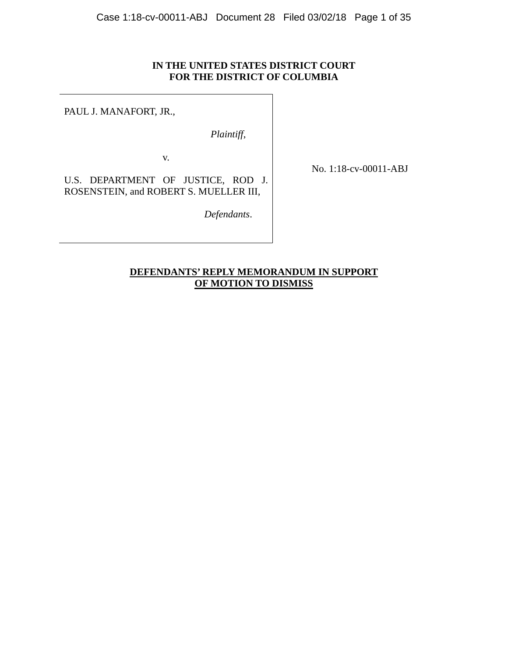# **IN THE UNITED STATES DISTRICT COURT FOR THE DISTRICT OF COLUMBIA**

PAUL J. MANAFORT, JR.,

*Plaintiff*,

v.

No. 1:18-cv-00011-ABJ

U.S. DEPARTMENT OF JUSTICE, ROD J. ROSENSTEIN, and ROBERT S. MUELLER III,

 *Defendants*.

# **DEFENDANTS' REPLY MEMORANDUM IN SUPPORT OF MOTION TO DISMISS**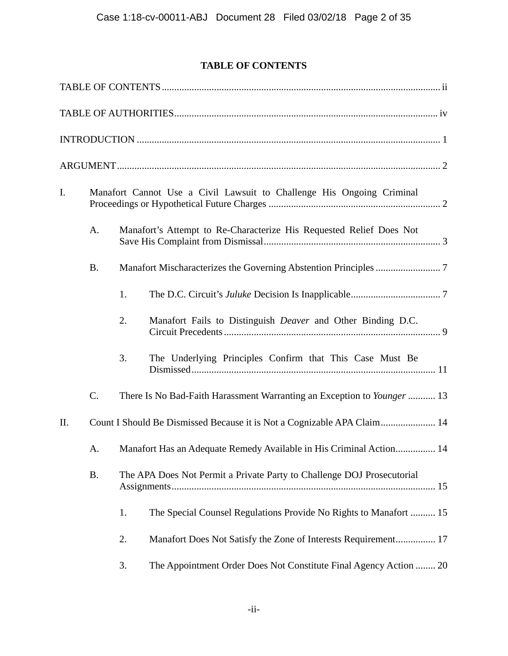# **TABLE OF CONTENTS**

| I.  | Manafort Cannot Use a Civil Lawsuit to Challenge His Ongoing Criminal |    |                                                                         |  |  |  |
|-----|-----------------------------------------------------------------------|----|-------------------------------------------------------------------------|--|--|--|
|     | A.                                                                    |    | Manafort's Attempt to Re-Characterize His Requested Relief Does Not     |  |  |  |
|     | <b>B.</b>                                                             |    |                                                                         |  |  |  |
|     |                                                                       | 1. |                                                                         |  |  |  |
|     |                                                                       | 2. | Manafort Fails to Distinguish Deaver and Other Binding D.C.             |  |  |  |
|     |                                                                       | 3. | The Underlying Principles Confirm that This Case Must Be                |  |  |  |
|     | $C$ .                                                                 |    | There Is No Bad-Faith Harassment Warranting an Exception to Younger  13 |  |  |  |
| II. |                                                                       |    | Count I Should Be Dismissed Because it is Not a Cognizable APA Claim 14 |  |  |  |
|     | A.                                                                    |    | Manafort Has an Adequate Remedy Available in His Criminal Action 14     |  |  |  |
|     | <b>B.</b>                                                             |    | The APA Does Not Permit a Private Party to Challenge DOJ Prosecutorial  |  |  |  |
|     |                                                                       | 1. | The Special Counsel Regulations Provide No Rights to Manafort  15       |  |  |  |
|     |                                                                       | 2. | Manafort Does Not Satisfy the Zone of Interests Requirement 17          |  |  |  |
|     |                                                                       | 3. | The Appointment Order Does Not Constitute Final Agency Action  20       |  |  |  |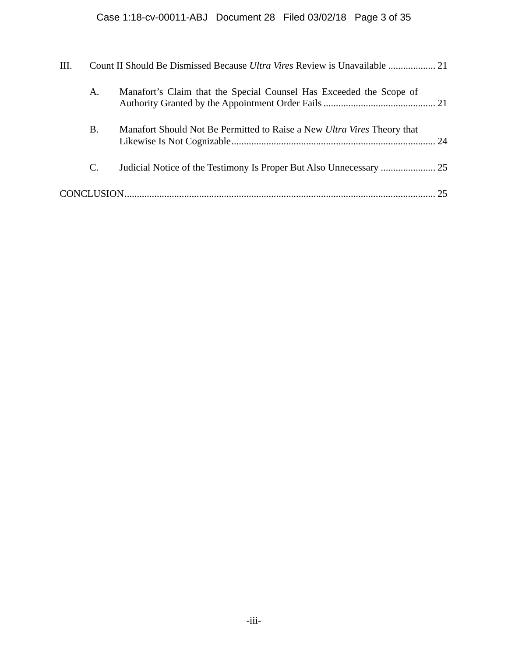| III. |           |                                                                         |    |  |  |
|------|-----------|-------------------------------------------------------------------------|----|--|--|
|      | A.        | Manafort's Claim that the Special Counsel Has Exceeded the Scope of     |    |  |  |
|      | <b>B.</b> | Manafort Should Not Be Permitted to Raise a New Ultra Vires Theory that |    |  |  |
|      | C.        |                                                                         |    |  |  |
|      |           |                                                                         | 25 |  |  |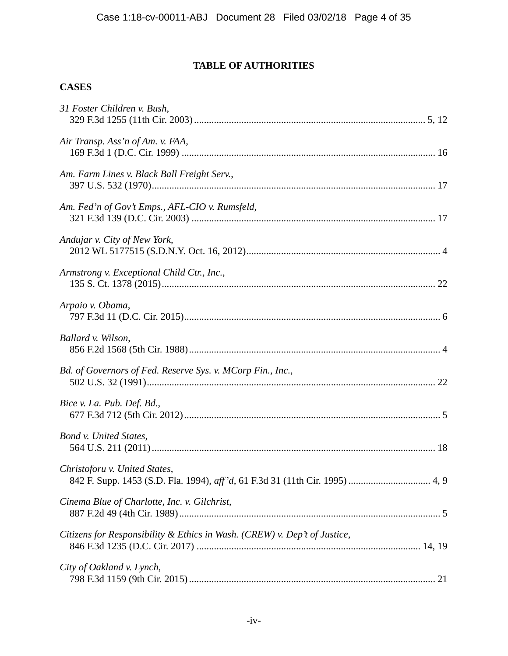# **TABLE OF AUTHORITIES**

# **CASES**

| 31 Foster Children v. Bush,                                               |  |
|---------------------------------------------------------------------------|--|
| Air Transp. Ass'n of Am. v. FAA,                                          |  |
| Am. Farm Lines v. Black Ball Freight Serv.,                               |  |
| Am. Fed'n of Gov't Emps., AFL-CIO v. Rumsfeld,                            |  |
| Andujar v. City of New York,                                              |  |
| Armstrong v. Exceptional Child Ctr., Inc.,                                |  |
| Arpaio v. Obama,                                                          |  |
| Ballard v. Wilson,                                                        |  |
| Bd. of Governors of Fed. Reserve Sys. v. MCorp Fin., Inc.,                |  |
| Bice v. La. Pub. Def. Bd.,                                                |  |
| Bond v. United States,                                                    |  |
| Christoforu v. United States,                                             |  |
| Cinema Blue of Charlotte, Inc. v. Gilchrist,                              |  |
| Citizens for Responsibility & Ethics in Wash. (CREW) v. Dep't of Justice, |  |
| City of Oakland v. Lynch,                                                 |  |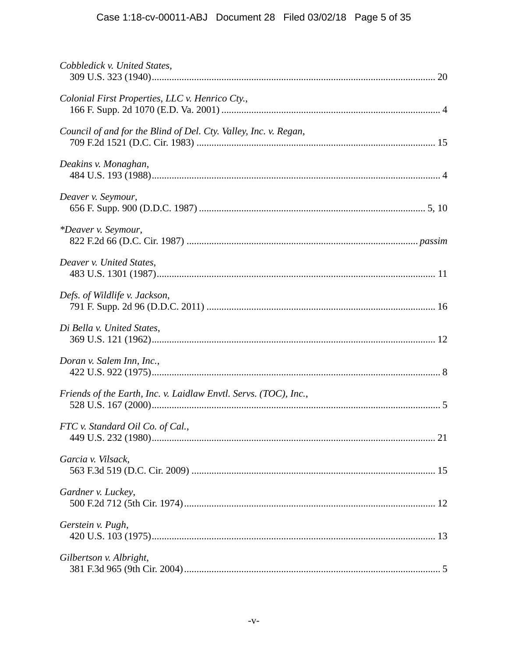# Case 1:18-cv-00011-ABJ Document 28 Filed 03/02/18 Page 5 of 35

| Cobbledick v. United States,                                     |  |
|------------------------------------------------------------------|--|
| Colonial First Properties, LLC v. Henrico Cty.,                  |  |
| Council of and for the Blind of Del. Cty. Valley, Inc. v. Regan, |  |
| Deakins v. Monaghan,                                             |  |
| Deaver v. Seymour,                                               |  |
| *Deaver v. Seymour,                                              |  |
| Deaver v. United States,                                         |  |
| Defs. of Wildlife v. Jackson,                                    |  |
| Di Bella v. United States,                                       |  |
| Doran v. Salem Inn, Inc.,                                        |  |
| Friends of the Earth, Inc. v. Laidlaw Envtl. Servs. (TOC), Inc., |  |
| FTC v. Standard Oil Co. of Cal.,                                 |  |
| Garcia v. Vilsack,                                               |  |
| Gardner v. Luckey,                                               |  |
| Gerstein v. Pugh,                                                |  |
| Gilbertson v. Albright,                                          |  |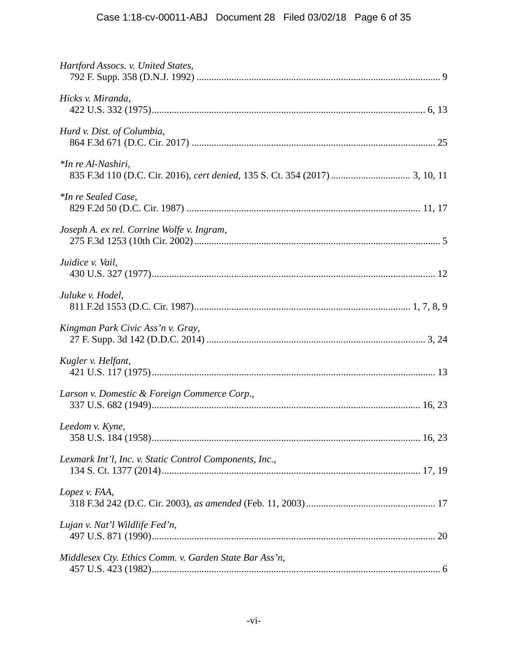| Hartford Assocs. v. United States,                      |
|---------------------------------------------------------|
| Hicks v. Miranda,                                       |
| Hurd v. Dist. of Columbia,                              |
| *In re Al-Nashiri,                                      |
| *In re Sealed Case,                                     |
| Joseph A. ex rel. Corrine Wolfe v. Ingram,              |
| Juidice v. Vail,                                        |
| Juluke v. Hodel,                                        |
| Kingman Park Civic Ass'n v. Gray,                       |
| Kugler v. Helfant,                                      |
| Larson v. Domestic & Foreign Commerce Corp.,            |
| Leedom v. Kyne,                                         |
| Lexmark Int'l, Inc. v. Static Control Components, Inc., |
| Lopez v. FAA,                                           |
| Lujan v. Nat'l Wildlife Fed'n,                          |
| Middlesex Cty. Ethics Comm. v. Garden State Bar Ass'n,  |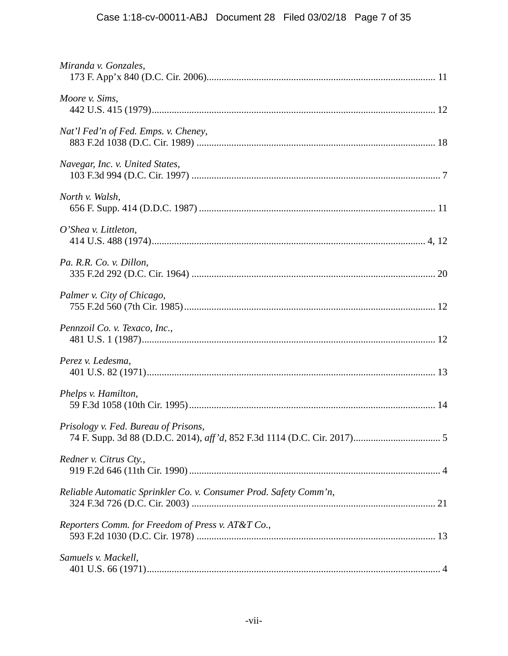| Miranda v. Gonzales,                                              |
|-------------------------------------------------------------------|
| Moore v. Sims,                                                    |
| Nat'l Fed'n of Fed. Emps. v. Cheney,                              |
| Navegar, Inc. v. United States,                                   |
| North v. Walsh,                                                   |
| $O'$ Shea v. Littleton,                                           |
| Pa. R.R. Co. v. Dillon,                                           |
| Palmer v. City of Chicago,                                        |
| Pennzoil Co. v. Texaco, Inc.,                                     |
| Perez v. Ledesma,                                                 |
| Phelps v. Hamilton,                                               |
| Prisology v. Fed. Bureau of Prisons,                              |
| Redner v. Citrus Cty.,                                            |
| Reliable Automatic Sprinkler Co. v. Consumer Prod. Safety Comm'n, |
| Reporters Comm. for Freedom of Press v. AT&T Co.,                 |
| Samuels v. Mackell,                                               |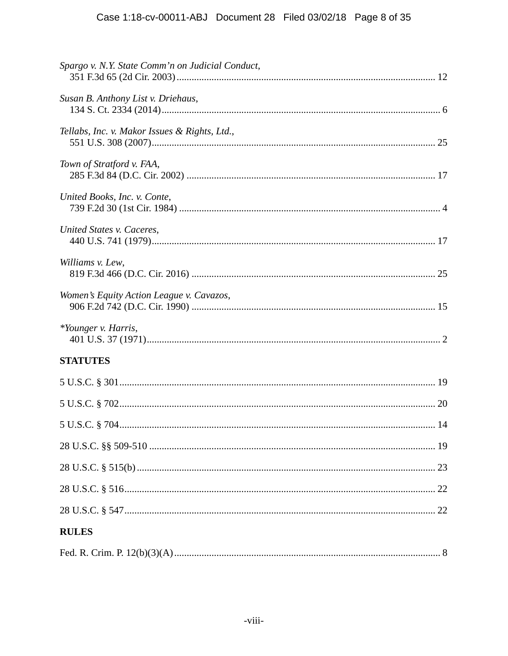| Spargo v. N.Y. State Comm'n on Judicial Conduct, |
|--------------------------------------------------|
| Susan B. Anthony List v. Driehaus,               |
| Tellabs, Inc. v. Makor Issues & Rights, Ltd.,    |
| Town of Stratford v. FAA,                        |
| United Books, Inc. v. Conte,                     |
| United States v. Caceres,                        |
| Williams v. Lew,                                 |
| Women's Equity Action League v. Cavazos,         |
| *Younger v. Harris,                              |
| <b>STATUTES</b>                                  |
|                                                  |
|                                                  |
|                                                  |
|                                                  |
|                                                  |
|                                                  |
|                                                  |
| <b>RULES</b>                                     |
|                                                  |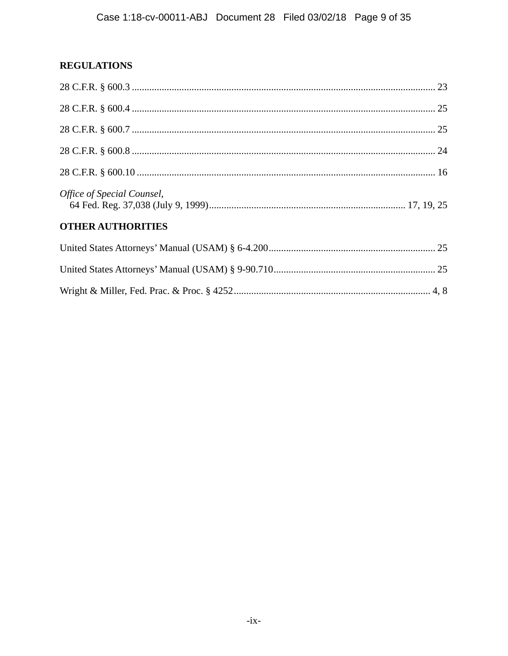# **REGULATIONS**

| Office of Special Counsel, |  |
|----------------------------|--|
| <b>OTHER AUTHORITIES</b>   |  |
|                            |  |
|                            |  |
|                            |  |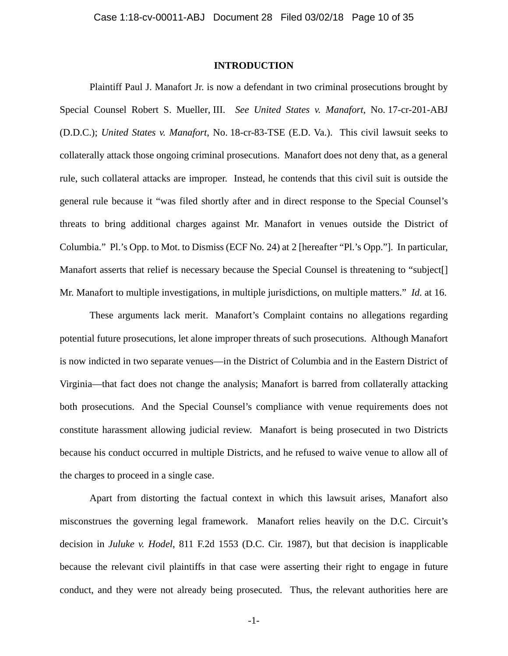# **INTRODUCTION**

Plaintiff Paul J. Manafort Jr. is now a defendant in two criminal prosecutions brought by Special Counsel Robert S. Mueller, III. *See United States v. Manafort*, No. 17-cr-201-ABJ (D.D.C.); *United States v. Manafort*, No. 18-cr-83-TSE (E.D. Va.). This civil lawsuit seeks to collaterally attack those ongoing criminal prosecutions. Manafort does not deny that, as a general rule, such collateral attacks are improper. Instead, he contends that this civil suit is outside the general rule because it "was filed shortly after and in direct response to the Special Counsel's threats to bring additional charges against Mr. Manafort in venues outside the District of Columbia." Pl.'s Opp. to Mot. to Dismiss (ECF No. 24) at 2 [hereafter "Pl.'s Opp."]. In particular, Manafort asserts that relief is necessary because the Special Counsel is threatening to "subject[] Mr. Manafort to multiple investigations, in multiple jurisdictions, on multiple matters." *Id.* at 16.

These arguments lack merit. Manafort's Complaint contains no allegations regarding potential future prosecutions, let alone improper threats of such prosecutions. Although Manafort is now indicted in two separate venues—in the District of Columbia and in the Eastern District of Virginia—that fact does not change the analysis; Manafort is barred from collaterally attacking both prosecutions. And the Special Counsel's compliance with venue requirements does not constitute harassment allowing judicial review. Manafort is being prosecuted in two Districts because his conduct occurred in multiple Districts, and he refused to waive venue to allow all of the charges to proceed in a single case.

Apart from distorting the factual context in which this lawsuit arises, Manafort also misconstrues the governing legal framework. Manafort relies heavily on the D.C. Circuit's decision in *Juluke v. Hodel*, 811 F.2d 1553 (D.C. Cir. 1987), but that decision is inapplicable because the relevant civil plaintiffs in that case were asserting their right to engage in future conduct, and they were not already being prosecuted. Thus, the relevant authorities here are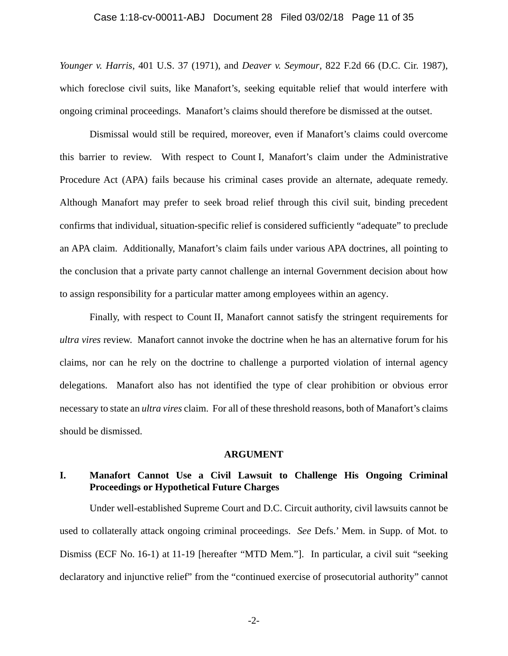## Case 1:18-cv-00011-ABJ Document 28 Filed 03/02/18 Page 11 of 35

*Younger v. Harris*, 401 U.S. 37 (1971), and *Deaver v. Seymour*, 822 F.2d 66 (D.C. Cir. 1987), which foreclose civil suits, like Manafort's, seeking equitable relief that would interfere with ongoing criminal proceedings. Manafort's claims should therefore be dismissed at the outset.

Dismissal would still be required, moreover, even if Manafort's claims could overcome this barrier to review. With respect to Count I, Manafort's claim under the Administrative Procedure Act (APA) fails because his criminal cases provide an alternate, adequate remedy. Although Manafort may prefer to seek broad relief through this civil suit, binding precedent confirms that individual, situation-specific relief is considered sufficiently "adequate" to preclude an APA claim. Additionally, Manafort's claim fails under various APA doctrines, all pointing to the conclusion that a private party cannot challenge an internal Government decision about how to assign responsibility for a particular matter among employees within an agency.

Finally, with respect to Count II, Manafort cannot satisfy the stringent requirements for *ultra vires* review. Manafort cannot invoke the doctrine when he has an alternative forum for his claims, nor can he rely on the doctrine to challenge a purported violation of internal agency delegations. Manafort also has not identified the type of clear prohibition or obvious error necessary to state an *ultra vires* claim. For all of these threshold reasons, both of Manafort's claims should be dismissed.

#### **ARGUMENT**

# **I. Manafort Cannot Use a Civil Lawsuit to Challenge His Ongoing Criminal Proceedings or Hypothetical Future Charges**

Under well-established Supreme Court and D.C. Circuit authority, civil lawsuits cannot be used to collaterally attack ongoing criminal proceedings. *See* Defs.' Mem. in Supp. of Mot. to Dismiss (ECF No. 16-1) at 11-19 [hereafter "MTD Mem."]. In particular, a civil suit "seeking declaratory and injunctive relief" from the "continued exercise of prosecutorial authority" cannot

-2-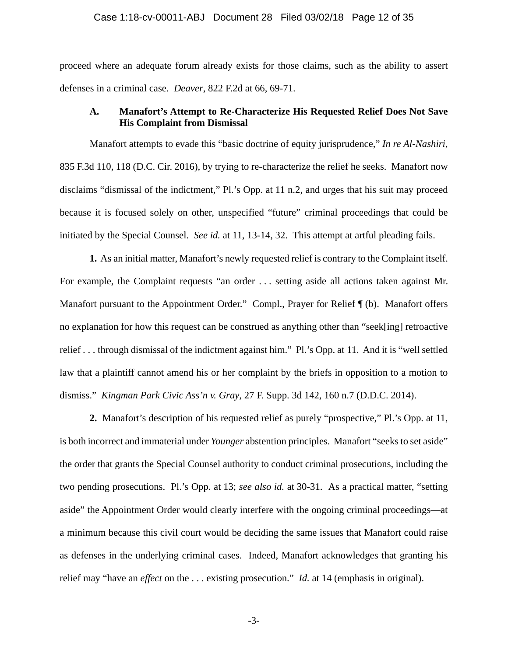#### Case 1:18-cv-00011-ABJ Document 28 Filed 03/02/18 Page 12 of 35

proceed where an adequate forum already exists for those claims, such as the ability to assert defenses in a criminal case. *Deaver*, 822 F.2d at 66, 69-71.

# **A. Manafort's Attempt to Re-Characterize His Requested Relief Does Not Save His Complaint from Dismissal**

Manafort attempts to evade this "basic doctrine of equity jurisprudence," *In re Al-Nashiri*, 835 F.3d 110, 118 (D.C. Cir. 2016), by trying to re-characterize the relief he seeks. Manafort now disclaims "dismissal of the indictment," Pl.'s Opp. at 11 n.2, and urges that his suit may proceed because it is focused solely on other, unspecified "future" criminal proceedings that could be initiated by the Special Counsel. *See id.* at 11, 13-14, 32. This attempt at artful pleading fails.

**1.** As an initial matter, Manafort's newly requested relief is contrary to the Complaint itself. For example, the Complaint requests "an order . . . setting aside all actions taken against Mr. Manafort pursuant to the Appointment Order." Compl., Prayer for Relief  $\P$  (b). Manafort offers no explanation for how this request can be construed as anything other than "seek[ing] retroactive relief . . . through dismissal of the indictment against him." Pl.'s Opp. at 11. And it is "well settled law that a plaintiff cannot amend his or her complaint by the briefs in opposition to a motion to dismiss." *Kingman Park Civic Ass'n v. Gray*, 27 F. Supp. 3d 142, 160 n.7 (D.D.C. 2014).

**2.** Manafort's description of his requested relief as purely "prospective," Pl.'s Opp. at 11, is both incorrect and immaterial under *Younger* abstention principles. Manafort "seeks to set aside" the order that grants the Special Counsel authority to conduct criminal prosecutions, including the two pending prosecutions. Pl.'s Opp. at 13; *see also id.* at 30-31. As a practical matter, "setting aside" the Appointment Order would clearly interfere with the ongoing criminal proceedings—at a minimum because this civil court would be deciding the same issues that Manafort could raise as defenses in the underlying criminal cases. Indeed, Manafort acknowledges that granting his relief may "have an *effect* on the . . . existing prosecution." *Id.* at 14 (emphasis in original).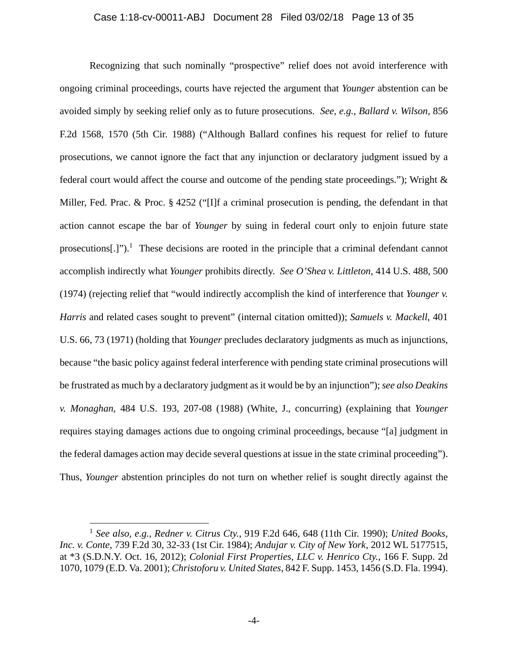# Case 1:18-cv-00011-ABJ Document 28 Filed 03/02/18 Page 13 of 35

Recognizing that such nominally "prospective" relief does not avoid interference with ongoing criminal proceedings, courts have rejected the argument that *Younger* abstention can be avoided simply by seeking relief only as to future prosecutions. *See, e.g.*, *Ballard v. Wilson*, 856 F.2d 1568, 1570 (5th Cir. 1988) ("Although Ballard confines his request for relief to future prosecutions, we cannot ignore the fact that any injunction or declaratory judgment issued by a federal court would affect the course and outcome of the pending state proceedings."); Wright & Miller, Fed. Prac. & Proc. § 4252 ("[I]f a criminal prosecution is pending, the defendant in that action cannot escape the bar of *Younger* by suing in federal court only to enjoin future state prosecutions[.]").<sup>1</sup> These decisions are rooted in the principle that a criminal defendant cannot accomplish indirectly what *Younger* prohibits directly. *See O'Shea v. Littleton*, 414 U.S. 488, 500 (1974) (rejecting relief that "would indirectly accomplish the kind of interference that *Younger v. Harris* and related cases sought to prevent" (internal citation omitted)); *Samuels v. Mackell*, 401 U.S. 66, 73 (1971) (holding that *Younger* precludes declaratory judgments as much as injunctions, because "the basic policy against federal interference with pending state criminal prosecutions will be frustrated as much by a declaratory judgment as it would be by an injunction"); *see also Deakins v. Monaghan*, 484 U.S. 193, 207-08 (1988) (White, J., concurring) (explaining that *Younger*  requires staying damages actions due to ongoing criminal proceedings, because "[a] judgment in the federal damages action may decide several questions at issue in the state criminal proceeding"). Thus, *Younger* abstention principles do not turn on whether relief is sought directly against the

<u>.</u>

<sup>1</sup> *See also, e.g.*, *Redner v. Citrus Cty.*, 919 F.2d 646, 648 (11th Cir. 1990); *United Books, Inc. v. Conte*, 739 F.2d 30, 32-33 (1st Cir. 1984); *Andujar v. City of New York*, 2012 WL 5177515, at \*3 (S.D.N.Y. Oct. 16, 2012); *Colonial First Properties, LLC v. Henrico Cty.*, 166 F. Supp. 2d 1070, 1079 (E.D. Va. 2001); *Christoforu v. United States*, 842 F. Supp. 1453, 1456 (S.D. Fla. 1994).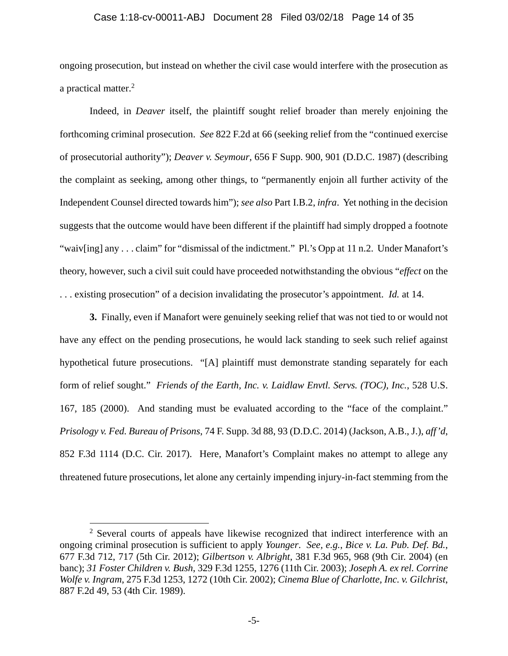# Case 1:18-cv-00011-ABJ Document 28 Filed 03/02/18 Page 14 of 35

ongoing prosecution, but instead on whether the civil case would interfere with the prosecution as a practical matter.<sup>2</sup>

Indeed, in *Deaver* itself, the plaintiff sought relief broader than merely enjoining the forthcoming criminal prosecution. *See* 822 F.2d at 66 (seeking relief from the "continued exercise of prosecutorial authority"); *Deaver v. Seymour*, 656 F Supp. 900, 901 (D.D.C. 1987) (describing the complaint as seeking, among other things, to "permanently enjoin all further activity of the Independent Counsel directed towards him"); *see also* Part I.B.2, *infra*. Yet nothing in the decision suggests that the outcome would have been different if the plaintiff had simply dropped a footnote "waiv[ing] any . . . claim" for "dismissal of the indictment." Pl.'s Opp at 11 n.2. Under Manafort's theory, however, such a civil suit could have proceeded notwithstanding the obvious "*effect* on the . . . existing prosecution" of a decision invalidating the prosecutor's appointment. *Id.* at 14.

**3.** Finally, even if Manafort were genuinely seeking relief that was not tied to or would not have any effect on the pending prosecutions, he would lack standing to seek such relief against hypothetical future prosecutions. "[A] plaintiff must demonstrate standing separately for each form of relief sought." *Friends of the Earth, Inc. v. Laidlaw Envtl. Servs. (TOC), Inc.*, 528 U.S. 167, 185 (2000). And standing must be evaluated according to the "face of the complaint." *Prisology v. Fed. Bureau of Prisons*, 74 F. Supp. 3d 88, 93 (D.D.C. 2014) (Jackson, A.B., J.), *aff'd*, 852 F.3d 1114 (D.C. Cir. 2017). Here, Manafort's Complaint makes no attempt to allege any threatened future prosecutions, let alone any certainly impending injury-in-fact stemming from the

 $\overline{a}$ 

<sup>&</sup>lt;sup>2</sup> Several courts of appeals have likewise recognized that indirect interference with an ongoing criminal prosecution is sufficient to apply *Younger*. *See, e.g.*, *Bice v. La. Pub. Def. Bd.*, 677 F.3d 712, 717 (5th Cir. 2012); *Gilbertson v. Albright*, 381 F.3d 965, 968 (9th Cir. 2004) (en banc); *31 Foster Children v. Bush*, 329 F.3d 1255, 1276 (11th Cir. 2003); *Joseph A. ex rel. Corrine Wolfe v. Ingram*, 275 F.3d 1253, 1272 (10th Cir. 2002); *Cinema Blue of Charlotte, Inc. v. Gilchrist*, 887 F.2d 49, 53 (4th Cir. 1989).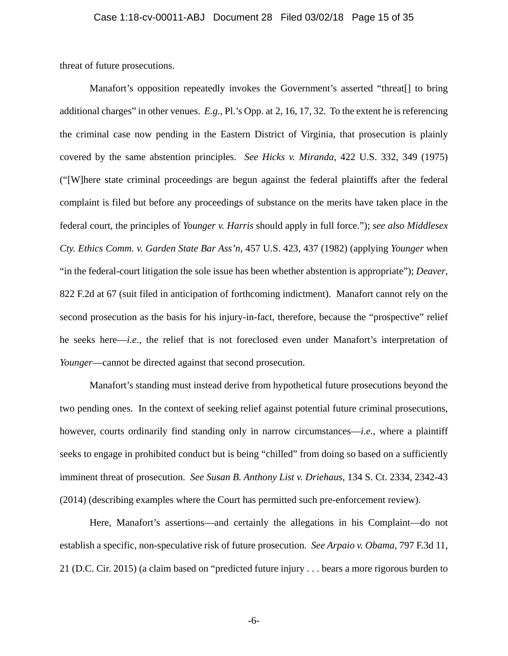threat of future prosecutions.

Manafort's opposition repeatedly invokes the Government's asserted "threat[] to bring additional charges" in other venues. *E.g.*, Pl.'s Opp. at 2, 16, 17, 32. To the extent he is referencing the criminal case now pending in the Eastern District of Virginia, that prosecution is plainly covered by the same abstention principles. *See Hicks v. Miranda*, 422 U.S. 332, 349 (1975) ("[W]here state criminal proceedings are begun against the federal plaintiffs after the federal complaint is filed but before any proceedings of substance on the merits have taken place in the federal court, the principles of *Younger v. Harris* should apply in full force."); *see also Middlesex Cty. Ethics Comm. v. Garden State Bar Ass'n*, 457 U.S. 423, 437 (1982) (applying *Younger* when "in the federal-court litigation the sole issue has been whether abstention is appropriate"); *Deaver*, 822 F.2d at 67 (suit filed in anticipation of forthcoming indictment). Manafort cannot rely on the second prosecution as the basis for his injury-in-fact, therefore, because the "prospective" relief he seeks here—*i.e.*, the relief that is not foreclosed even under Manafort's interpretation of *Younger*—cannot be directed against that second prosecution.

Manafort's standing must instead derive from hypothetical future prosecutions beyond the two pending ones. In the context of seeking relief against potential future criminal prosecutions, however, courts ordinarily find standing only in narrow circumstances—*i.e.*, where a plaintiff seeks to engage in prohibited conduct but is being "chilled" from doing so based on a sufficiently imminent threat of prosecution. *See Susan B. Anthony List v. Driehaus*, 134 S. Ct. 2334, 2342-43 (2014) (describing examples where the Court has permitted such pre-enforcement review).

Here, Manafort's assertions—and certainly the allegations in his Complaint—do not establish a specific, non-speculative risk of future prosecution. *See Arpaio v. Obama*, 797 F.3d 11, 21 (D.C. Cir. 2015) (a claim based on "predicted future injury . . . bears a more rigorous burden to

-6-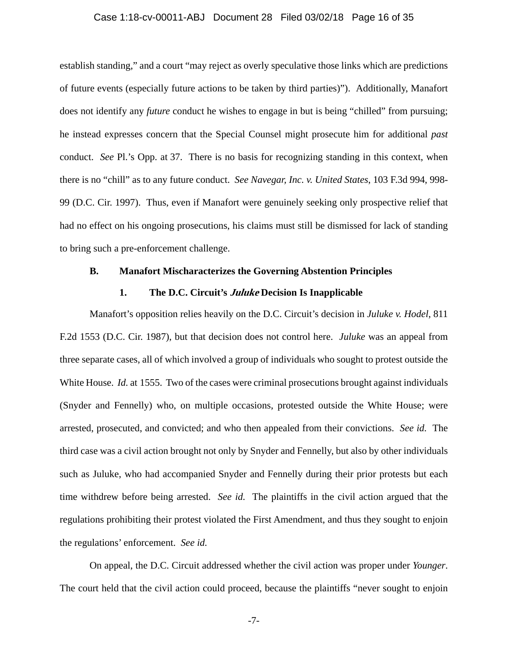## Case 1:18-cv-00011-ABJ Document 28 Filed 03/02/18 Page 16 of 35

establish standing," and a court "may reject as overly speculative those links which are predictions of future events (especially future actions to be taken by third parties)"). Additionally, Manafort does not identify any *future* conduct he wishes to engage in but is being "chilled" from pursuing; he instead expresses concern that the Special Counsel might prosecute him for additional *past*  conduct. *See* Pl.'s Opp. at 37. There is no basis for recognizing standing in this context, when there is no "chill" as to any future conduct. *See Navegar, Inc. v. United States*, 103 F.3d 994, 998- 99 (D.C. Cir. 1997). Thus, even if Manafort were genuinely seeking only prospective relief that had no effect on his ongoing prosecutions, his claims must still be dismissed for lack of standing to bring such a pre-enforcement challenge.

## **B. Manafort Mischaracterizes the Governing Abstention Principles**

# **1. The D.C. Circuit's Juluke Decision Is Inapplicable**

Manafort's opposition relies heavily on the D.C. Circuit's decision in *Juluke v. Hodel*, 811 F.2d 1553 (D.C. Cir. 1987), but that decision does not control here. *Juluke* was an appeal from three separate cases, all of which involved a group of individuals who sought to protest outside the White House. *Id.* at 1555. Two of the cases were criminal prosecutions brought against individuals (Snyder and Fennelly) who, on multiple occasions, protested outside the White House; were arrested, prosecuted, and convicted; and who then appealed from their convictions. *See id.* The third case was a civil action brought not only by Snyder and Fennelly, but also by other individuals such as Juluke, who had accompanied Snyder and Fennelly during their prior protests but each time withdrew before being arrested. *See id.* The plaintiffs in the civil action argued that the regulations prohibiting their protest violated the First Amendment, and thus they sought to enjoin the regulations' enforcement. *See id.* 

On appeal, the D.C. Circuit addressed whether the civil action was proper under *Younger*. The court held that the civil action could proceed, because the plaintiffs "never sought to enjoin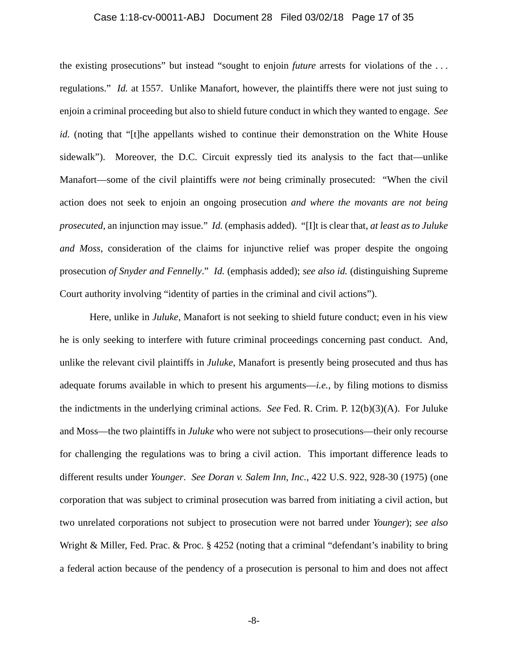## Case 1:18-cv-00011-ABJ Document 28 Filed 03/02/18 Page 17 of 35

the existing prosecutions" but instead "sought to enjoin *future* arrests for violations of the . . . regulations." *Id.* at 1557. Unlike Manafort, however, the plaintiffs there were not just suing to enjoin a criminal proceeding but also to shield future conduct in which they wanted to engage. *See id.* (noting that "[t]he appellants wished to continue their demonstration on the White House sidewalk"). Moreover, the D.C. Circuit expressly tied its analysis to the fact that—unlike Manafort—some of the civil plaintiffs were *not* being criminally prosecuted: "When the civil action does not seek to enjoin an ongoing prosecution *and where the movants are not being prosecuted*, an injunction may issue." *Id.* (emphasis added). "[I]t is clear that, *at least as to Juluke and Moss*, consideration of the claims for injunctive relief was proper despite the ongoing prosecution *of Snyder and Fennelly*." *Id.* (emphasis added); *see also id.* (distinguishing Supreme Court authority involving "identity of parties in the criminal and civil actions").

Here, unlike in *Juluke*, Manafort is not seeking to shield future conduct; even in his view he is only seeking to interfere with future criminal proceedings concerning past conduct. And, unlike the relevant civil plaintiffs in *Juluke*, Manafort is presently being prosecuted and thus has adequate forums available in which to present his arguments—*i.e.*, by filing motions to dismiss the indictments in the underlying criminal actions. *See* Fed. R. Crim. P. 12(b)(3)(A). For Juluke and Moss—the two plaintiffs in *Juluke* who were not subject to prosecutions—their only recourse for challenging the regulations was to bring a civil action. This important difference leads to different results under *Younger*. *See Doran v. Salem Inn, Inc.*, 422 U.S. 922, 928-30 (1975) (one corporation that was subject to criminal prosecution was barred from initiating a civil action, but two unrelated corporations not subject to prosecution were not barred under *Younger*); *see also*  Wright & Miller, Fed. Prac. & Proc. § 4252 (noting that a criminal "defendant's inability to bring a federal action because of the pendency of a prosecution is personal to him and does not affect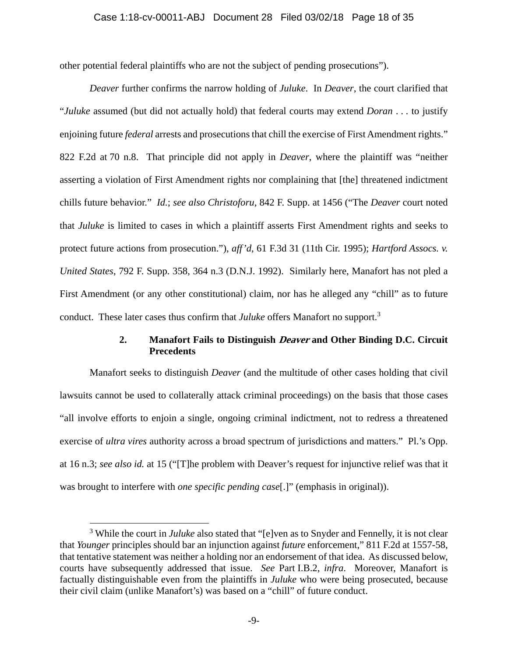# Case 1:18-cv-00011-ABJ Document 28 Filed 03/02/18 Page 18 of 35

other potential federal plaintiffs who are not the subject of pending prosecutions").

*Deaver* further confirms the narrow holding of *Juluke*. In *Deaver*, the court clarified that "*Juluke* assumed (but did not actually hold) that federal courts may extend *Doran* . . . to justify enjoining future *federal* arrests and prosecutions that chill the exercise of First Amendment rights." 822 F.2d at 70 n.8. That principle did not apply in *Deaver*, where the plaintiff was "neither asserting a violation of First Amendment rights nor complaining that [the] threatened indictment chills future behavior." *Id.*; *see also Christoforu*, 842 F. Supp. at 1456 ("The *Deaver* court noted that *Juluke* is limited to cases in which a plaintiff asserts First Amendment rights and seeks to protect future actions from prosecution."), *aff'd*, 61 F.3d 31 (11th Cir. 1995); *Hartford Assocs. v. United States*, 792 F. Supp. 358, 364 n.3 (D.N.J. 1992). Similarly here, Manafort has not pled a First Amendment (or any other constitutional) claim, nor has he alleged any "chill" as to future conduct. These later cases thus confirm that *Juluke* offers Manafort no support.3

# **2. Manafort Fails to Distinguish Deaver and Other Binding D.C. Circuit Precedents**

Manafort seeks to distinguish *Deaver* (and the multitude of other cases holding that civil lawsuits cannot be used to collaterally attack criminal proceedings) on the basis that those cases "all involve efforts to enjoin a single, ongoing criminal indictment, not to redress a threatened exercise of *ultra vires* authority across a broad spectrum of jurisdictions and matters." Pl.'s Opp. at 16 n.3; *see also id.* at 15 ("[T]he problem with Deaver's request for injunctive relief was that it was brought to interfere with *one specific pending case*[.]" (emphasis in original)).

 $\overline{a}$ 

<sup>&</sup>lt;sup>3</sup> While the court in *Juluke* also stated that "[e]ven as to Snyder and Fennelly, it is not clear that *Younger* principles should bar an injunction against *future* enforcement," 811 F.2d at 1557-58, that tentative statement was neither a holding nor an endorsement of that idea. As discussed below, courts have subsequently addressed that issue. *See* Part I.B.2, *infra*. Moreover, Manafort is factually distinguishable even from the plaintiffs in *Juluke* who were being prosecuted, because their civil claim (unlike Manafort's) was based on a "chill" of future conduct.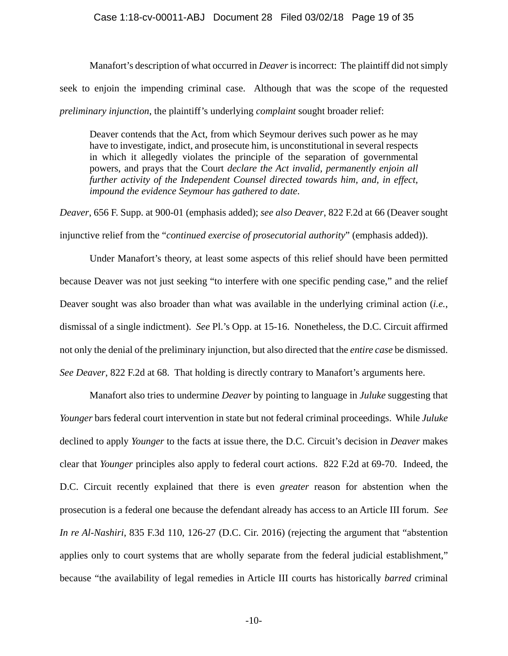# Case 1:18-cv-00011-ABJ Document 28 Filed 03/02/18 Page 19 of 35

Manafort's description of what occurred in *Deaver* is incorrect: The plaintiff did not simply seek to enjoin the impending criminal case. Although that was the scope of the requested *preliminary injunction*, the plaintiff's underlying *complaint* sought broader relief:

Deaver contends that the Act, from which Seymour derives such power as he may have to investigate, indict, and prosecute him, is unconstitutional in several respects in which it allegedly violates the principle of the separation of governmental powers, and prays that the Court *declare the Act invalid, permanently enjoin all further activity of the Independent Counsel directed towards him, and, in effect, impound the evidence Seymour has gathered to date*.

*Deaver*, 656 F. Supp. at 900-01 (emphasis added); *see also Deaver*, 822 F.2d at 66 (Deaver sought injunctive relief from the "*continued exercise of prosecutorial authority*" (emphasis added)).

Under Manafort's theory, at least some aspects of this relief should have been permitted because Deaver was not just seeking "to interfere with one specific pending case," and the relief Deaver sought was also broader than what was available in the underlying criminal action (*i.e.*, dismissal of a single indictment). *See* Pl.'s Opp. at 15-16. Nonetheless, the D.C. Circuit affirmed not only the denial of the preliminary injunction, but also directed that the *entire case* be dismissed. *See Deaver*, 822 F.2d at 68. That holding is directly contrary to Manafort's arguments here.

Manafort also tries to undermine *Deaver* by pointing to language in *Juluke* suggesting that *Younger* bars federal court intervention in state but not federal criminal proceedings. While *Juluke*  declined to apply *Younger* to the facts at issue there, the D.C. Circuit's decision in *Deaver* makes clear that *Younger* principles also apply to federal court actions. 822 F.2d at 69-70. Indeed, the D.C. Circuit recently explained that there is even *greater* reason for abstention when the prosecution is a federal one because the defendant already has access to an Article III forum. *See In re Al-Nashiri*, 835 F.3d 110, 126-27 (D.C. Cir. 2016) (rejecting the argument that "abstention applies only to court systems that are wholly separate from the federal judicial establishment," because "the availability of legal remedies in Article III courts has historically *barred* criminal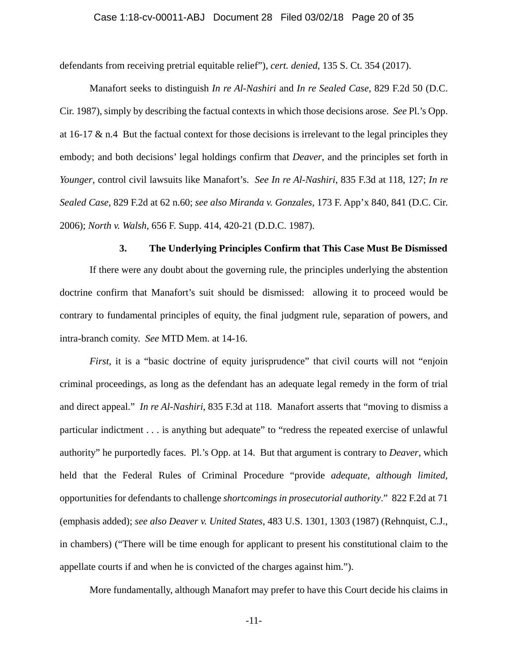defendants from receiving pretrial equitable relief"), *cert. denied*, 135 S. Ct. 354 (2017).

Manafort seeks to distinguish *In re Al-Nashiri* and *In re Sealed Case*, 829 F.2d 50 (D.C. Cir. 1987), simply by describing the factual contexts in which those decisions arose. *See* Pl.'s Opp. at 16-17 & n.4 But the factual context for those decisions is irrelevant to the legal principles they embody; and both decisions' legal holdings confirm that *Deaver*, and the principles set forth in *Younger*, control civil lawsuits like Manafort's. *See In re Al-Nashiri*, 835 F.3d at 118, 127; *In re Sealed Case*, 829 F.2d at 62 n.60; *see also Miranda v. Gonzales*, 173 F. App'x 840, 841 (D.C. Cir. 2006); *North v. Walsh*, 656 F. Supp. 414, 420-21 (D.D.C. 1987).

#### **3. The Underlying Principles Confirm that This Case Must Be Dismissed**

If there were any doubt about the governing rule, the principles underlying the abstention doctrine confirm that Manafort's suit should be dismissed: allowing it to proceed would be contrary to fundamental principles of equity, the final judgment rule, separation of powers, and intra-branch comity. *See* MTD Mem. at 14-16.

*First*, it is a "basic doctrine of equity jurisprudence" that civil courts will not "enjoin criminal proceedings, as long as the defendant has an adequate legal remedy in the form of trial and direct appeal." *In re Al-Nashiri*, 835 F.3d at 118. Manafort asserts that "moving to dismiss a particular indictment . . . is anything but adequate" to "redress the repeated exercise of unlawful authority" he purportedly faces. Pl.'s Opp. at 14. But that argument is contrary to *Deaver*, which held that the Federal Rules of Criminal Procedure "provide *adequate, although limited,* opportunities for defendants to challenge *shortcomings in prosecutorial authority*." 822 F.2d at 71 (emphasis added); *see also Deaver v. United States*, 483 U.S. 1301, 1303 (1987) (Rehnquist, C.J., in chambers) ("There will be time enough for applicant to present his constitutional claim to the appellate courts if and when he is convicted of the charges against him.").

More fundamentally, although Manafort may prefer to have this Court decide his claims in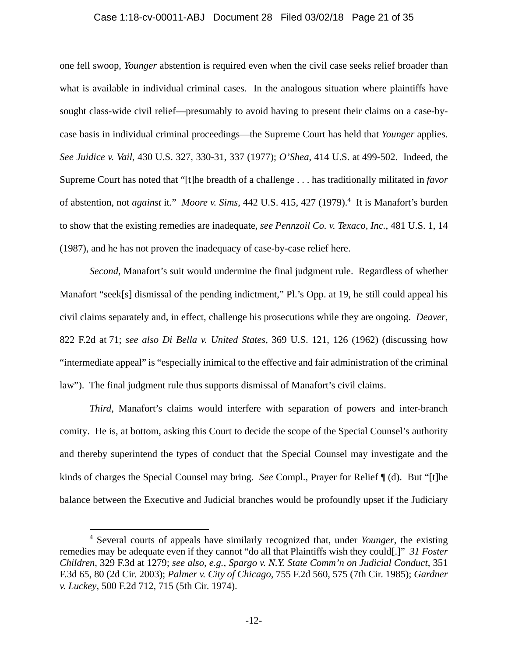## Case 1:18-cv-00011-ABJ Document 28 Filed 03/02/18 Page 21 of 35

one fell swoop, *Younger* abstention is required even when the civil case seeks relief broader than what is available in individual criminal cases. In the analogous situation where plaintiffs have sought class-wide civil relief—presumably to avoid having to present their claims on a case-bycase basis in individual criminal proceedings—the Supreme Court has held that *Younger* applies. *See Juidice v. Vail*, 430 U.S. 327, 330-31, 337 (1977); *O'Shea*, 414 U.S. at 499-502. Indeed, the Supreme Court has noted that "[t]he breadth of a challenge . . . has traditionally militated in *favor* of abstention, not *against* it." *Moore v. Sims*, 442 U.S. 415, 427 (1979).<sup>4</sup> It is Manafort's burden to show that the existing remedies are inadequate, *see Pennzoil Co. v. Texaco, Inc.*, 481 U.S. 1, 14 (1987), and he has not proven the inadequacy of case-by-case relief here.

*Second*, Manafort's suit would undermine the final judgment rule. Regardless of whether Manafort "seek[s] dismissal of the pending indictment," Pl.'s Opp. at 19, he still could appeal his civil claims separately and, in effect, challenge his prosecutions while they are ongoing. *Deaver*, 822 F.2d at 71; *see also Di Bella v. United States*, 369 U.S. 121, 126 (1962) (discussing how "intermediate appeal" is "especially inimical to the effective and fair administration of the criminal law"). The final judgment rule thus supports dismissal of Manafort's civil claims.

*Third*, Manafort's claims would interfere with separation of powers and inter-branch comity. He is, at bottom, asking this Court to decide the scope of the Special Counsel's authority and thereby superintend the types of conduct that the Special Counsel may investigate and the kinds of charges the Special Counsel may bring. *See* Compl., Prayer for Relief ¶ (d). But "[t]he balance between the Executive and Judicial branches would be profoundly upset if the Judiciary

 $\overline{a}$ 

<sup>4</sup> Several courts of appeals have similarly recognized that, under *Younger*, the existing remedies may be adequate even if they cannot "do all that Plaintiffs wish they could[.]" *31 Foster Children*, 329 F.3d at 1279; *see also, e.g.*, *Spargo v. N.Y. State Comm'n on Judicial Conduct*, 351 F.3d 65, 80 (2d Cir. 2003); *Palmer v. City of Chicago*, 755 F.2d 560, 575 (7th Cir. 1985); *Gardner v. Luckey*, 500 F.2d 712, 715 (5th Cir. 1974).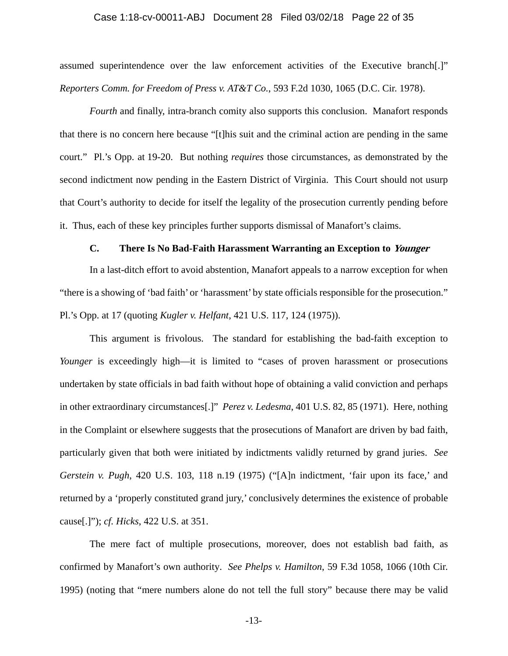## Case 1:18-cv-00011-ABJ Document 28 Filed 03/02/18 Page 22 of 35

assumed superintendence over the law enforcement activities of the Executive branch[.]" *Reporters Comm. for Freedom of Press v. AT&T Co.*, 593 F.2d 1030, 1065 (D.C. Cir. 1978).

*Fourth* and finally, intra-branch comity also supports this conclusion. Manafort responds that there is no concern here because "[t]his suit and the criminal action are pending in the same court." Pl.'s Opp. at 19-20. But nothing *requires* those circumstances, as demonstrated by the second indictment now pending in the Eastern District of Virginia. This Court should not usurp that Court's authority to decide for itself the legality of the prosecution currently pending before it. Thus, each of these key principles further supports dismissal of Manafort's claims.

# **C. There Is No Bad-Faith Harassment Warranting an Exception to Younger**

In a last-ditch effort to avoid abstention, Manafort appeals to a narrow exception for when "there is a showing of 'bad faith' or 'harassment' by state officials responsible for the prosecution." Pl.'s Opp. at 17 (quoting *Kugler v. Helfant*, 421 U.S. 117, 124 (1975)).

This argument is frivolous. The standard for establishing the bad-faith exception to *Younger* is exceedingly high—it is limited to "cases of proven harassment or prosecutions undertaken by state officials in bad faith without hope of obtaining a valid conviction and perhaps in other extraordinary circumstances[.]" *Perez v. Ledesma*, 401 U.S. 82, 85 (1971). Here, nothing in the Complaint or elsewhere suggests that the prosecutions of Manafort are driven by bad faith, particularly given that both were initiated by indictments validly returned by grand juries. *See Gerstein v. Pugh*, 420 U.S. 103, 118 n.19 (1975) ("[A]n indictment, 'fair upon its face,' and returned by a 'properly constituted grand jury,' conclusively determines the existence of probable cause[.]"); *cf. Hicks*, 422 U.S. at 351.

The mere fact of multiple prosecutions, moreover, does not establish bad faith, as confirmed by Manafort's own authority. *See Phelps v. Hamilton*, 59 F.3d 1058, 1066 (10th Cir. 1995) (noting that "mere numbers alone do not tell the full story" because there may be valid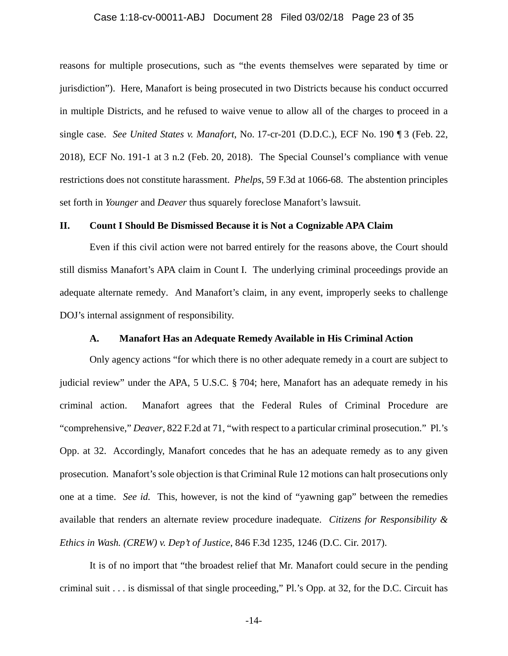## Case 1:18-cv-00011-ABJ Document 28 Filed 03/02/18 Page 23 of 35

reasons for multiple prosecutions, such as "the events themselves were separated by time or jurisdiction"). Here, Manafort is being prosecuted in two Districts because his conduct occurred in multiple Districts, and he refused to waive venue to allow all of the charges to proceed in a single case. *See United States v. Manafort*, No. 17-cr-201 (D.D.C.), ECF No. 190 ¶ 3 (Feb. 22, 2018), ECF No. 191-1 at 3 n.2 (Feb. 20, 2018). The Special Counsel's compliance with venue restrictions does not constitute harassment. *Phelps*, 59 F.3d at 1066-68. The abstention principles set forth in *Younger* and *Deaver* thus squarely foreclose Manafort's lawsuit.

# **II. Count I Should Be Dismissed Because it is Not a Cognizable APA Claim**

Even if this civil action were not barred entirely for the reasons above, the Court should still dismiss Manafort's APA claim in Count I. The underlying criminal proceedings provide an adequate alternate remedy. And Manafort's claim, in any event, improperly seeks to challenge DOJ's internal assignment of responsibility.

# **A. Manafort Has an Adequate Remedy Available in His Criminal Action**

Only agency actions "for which there is no other adequate remedy in a court are subject to judicial review" under the APA, 5 U.S.C. § 704; here, Manafort has an adequate remedy in his criminal action. Manafort agrees that the Federal Rules of Criminal Procedure are "comprehensive," *Deaver*, 822 F.2d at 71, "with respect to a particular criminal prosecution." Pl.'s Opp. at 32. Accordingly, Manafort concedes that he has an adequate remedy as to any given prosecution. Manafort's sole objection is that Criminal Rule 12 motions can halt prosecutions only one at a time. *See id.* This, however, is not the kind of "yawning gap" between the remedies available that renders an alternate review procedure inadequate. *Citizens for Responsibility & Ethics in Wash. (CREW) v. Dep't of Justice*, 846 F.3d 1235, 1246 (D.C. Cir. 2017).

It is of no import that "the broadest relief that Mr. Manafort could secure in the pending criminal suit . . . is dismissal of that single proceeding," Pl.'s Opp. at 32, for the D.C. Circuit has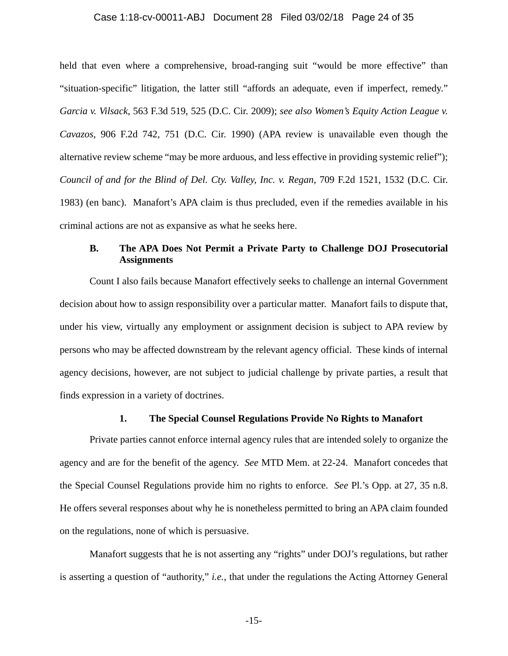## Case 1:18-cv-00011-ABJ Document 28 Filed 03/02/18 Page 24 of 35

held that even where a comprehensive, broad-ranging suit "would be more effective" than "situation-specific" litigation, the latter still "affords an adequate, even if imperfect, remedy." *Garcia v. Vilsack*, 563 F.3d 519, 525 (D.C. Cir. 2009); *see also Women's Equity Action League v. Cavazos*, 906 F.2d 742, 751 (D.C. Cir. 1990) (APA review is unavailable even though the alternative review scheme "may be more arduous, and less effective in providing systemic relief"); *Council of and for the Blind of Del. Cty. Valley, Inc. v. Regan*, 709 F.2d 1521, 1532 (D.C. Cir. 1983) (en banc). Manafort's APA claim is thus precluded, even if the remedies available in his criminal actions are not as expansive as what he seeks here.

# **B. The APA Does Not Permit a Private Party to Challenge DOJ Prosecutorial Assignments**

Count I also fails because Manafort effectively seeks to challenge an internal Government decision about how to assign responsibility over a particular matter. Manafort fails to dispute that, under his view, virtually any employment or assignment decision is subject to APA review by persons who may be affected downstream by the relevant agency official. These kinds of internal agency decisions, however, are not subject to judicial challenge by private parties, a result that finds expression in a variety of doctrines.

# **1. The Special Counsel Regulations Provide No Rights to Manafort**

Private parties cannot enforce internal agency rules that are intended solely to organize the agency and are for the benefit of the agency. *See* MTD Mem. at 22-24. Manafort concedes that the Special Counsel Regulations provide him no rights to enforce. *See* Pl.'s Opp. at 27, 35 n.8. He offers several responses about why he is nonetheless permitted to bring an APA claim founded on the regulations, none of which is persuasive.

Manafort suggests that he is not asserting any "rights" under DOJ's regulations, but rather is asserting a question of "authority," *i.e.*, that under the regulations the Acting Attorney General

-15-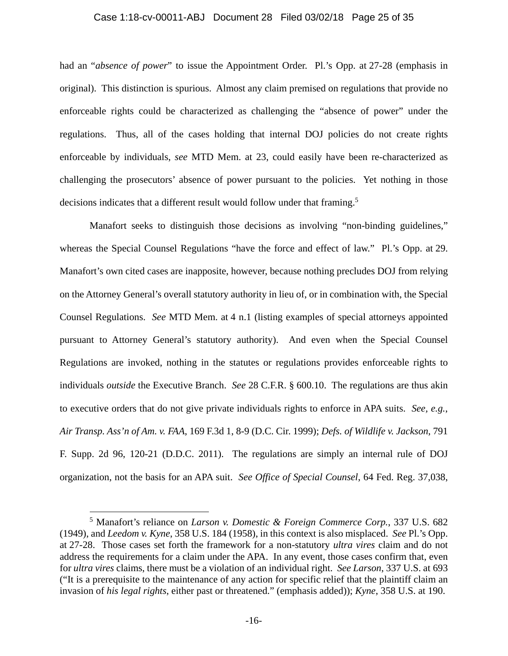#### Case 1:18-cv-00011-ABJ Document 28 Filed 03/02/18 Page 25 of 35

had an "*absence of power*" to issue the Appointment Order. Pl.'s Opp. at 27-28 (emphasis in original). This distinction is spurious. Almost any claim premised on regulations that provide no enforceable rights could be characterized as challenging the "absence of power" under the regulations. Thus, all of the cases holding that internal DOJ policies do not create rights enforceable by individuals, *see* MTD Mem. at 23, could easily have been re-characterized as challenging the prosecutors' absence of power pursuant to the policies. Yet nothing in those decisions indicates that a different result would follow under that framing.<sup>5</sup>

Manafort seeks to distinguish those decisions as involving "non-binding guidelines," whereas the Special Counsel Regulations "have the force and effect of law." Pl.'s Opp. at 29. Manafort's own cited cases are inapposite, however, because nothing precludes DOJ from relying on the Attorney General's overall statutory authority in lieu of, or in combination with, the Special Counsel Regulations. *See* MTD Mem. at 4 n.1 (listing examples of special attorneys appointed pursuant to Attorney General's statutory authority). And even when the Special Counsel Regulations are invoked, nothing in the statutes or regulations provides enforceable rights to individuals *outside* the Executive Branch. *See* 28 C.F.R. § 600.10. The regulations are thus akin to executive orders that do not give private individuals rights to enforce in APA suits. *See, e.g.*, *Air Transp. Ass'n of Am. v. FAA*, 169 F.3d 1, 8-9 (D.C. Cir. 1999); *Defs. of Wildlife v. Jackson*, 791 F. Supp. 2d 96, 120-21 (D.D.C. 2011). The regulations are simply an internal rule of DOJ organization, not the basis for an APA suit. *See Office of Special Counsel*, 64 Fed. Reg. 37,038,

 $\overline{a}$ 

<sup>5</sup> Manafort's reliance on *Larson v. Domestic & Foreign Commerce Corp.*, 337 U.S. 682 (1949), and *Leedom v. Kyne*, 358 U.S. 184 (1958), in this context is also misplaced. *See* Pl.'s Opp. at 27-28. Those cases set forth the framework for a non-statutory *ultra vires* claim and do not address the requirements for a claim under the APA. In any event, those cases confirm that, even for *ultra vires* claims, there must be a violation of an individual right. *See Larson*, 337 U.S. at 693 ("It is a prerequisite to the maintenance of any action for specific relief that the plaintiff claim an invasion of *his legal rights*, either past or threatened." (emphasis added)); *Kyne*, 358 U.S. at 190.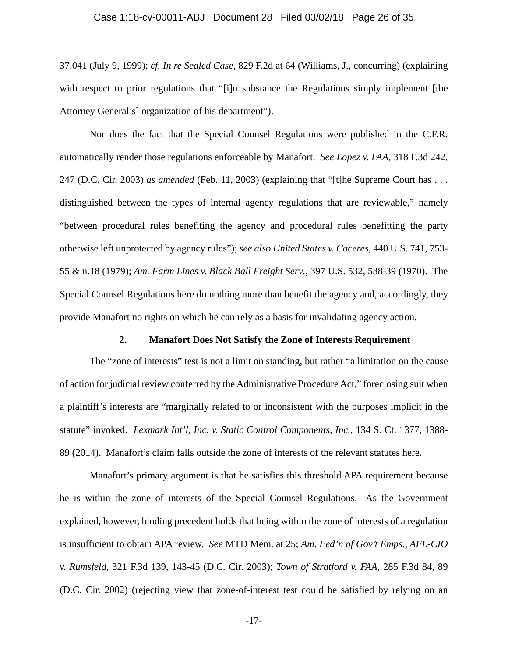## Case 1:18-cv-00011-ABJ Document 28 Filed 03/02/18 Page 26 of 35

37,041 (July 9, 1999); *cf. In re Sealed Case*, 829 F.2d at 64 (Williams, J., concurring) (explaining with respect to prior regulations that "[i]n substance the Regulations simply implement [the Attorney General's] organization of his department").

Nor does the fact that the Special Counsel Regulations were published in the C.F.R. automatically render those regulations enforceable by Manafort. *See Lopez v. FAA*, 318 F.3d 242, 247 (D.C. Cir. 2003) *as amended* (Feb. 11, 2003) (explaining that "[t]he Supreme Court has . . . distinguished between the types of internal agency regulations that are reviewable," namely "between procedural rules benefiting the agency and procedural rules benefitting the party otherwise left unprotected by agency rules"); *see also United States v. Caceres*, 440 U.S. 741, 753- 55 & n.18 (1979); *Am. Farm Lines v. Black Ball Freight Serv.*, 397 U.S. 532, 538-39 (1970). The Special Counsel Regulations here do nothing more than benefit the agency and, accordingly, they provide Manafort no rights on which he can rely as a basis for invalidating agency action.

#### **2. Manafort Does Not Satisfy the Zone of Interests Requirement**

The "zone of interests" test is not a limit on standing, but rather "a limitation on the cause of action for judicial review conferred by the Administrative Procedure Act," foreclosing suit when a plaintiff's interests are "marginally related to or inconsistent with the purposes implicit in the statute" invoked. *Lexmark Int'l, Inc. v. Static Control Components, Inc.*, 134 S. Ct. 1377, 1388- 89 (2014). Manafort's claim falls outside the zone of interests of the relevant statutes here.

Manafort's primary argument is that he satisfies this threshold APA requirement because he is within the zone of interests of the Special Counsel Regulations. As the Government explained, however, binding precedent holds that being within the zone of interests of a regulation is insufficient to obtain APA review. *See* MTD Mem. at 25; *Am. Fed'n of Gov't Emps., AFL-CIO v. Rumsfeld*, 321 F.3d 139, 143-45 (D.C. Cir. 2003); *Town of Stratford v. FAA*, 285 F.3d 84, 89 (D.C. Cir. 2002) (rejecting view that zone-of-interest test could be satisfied by relying on an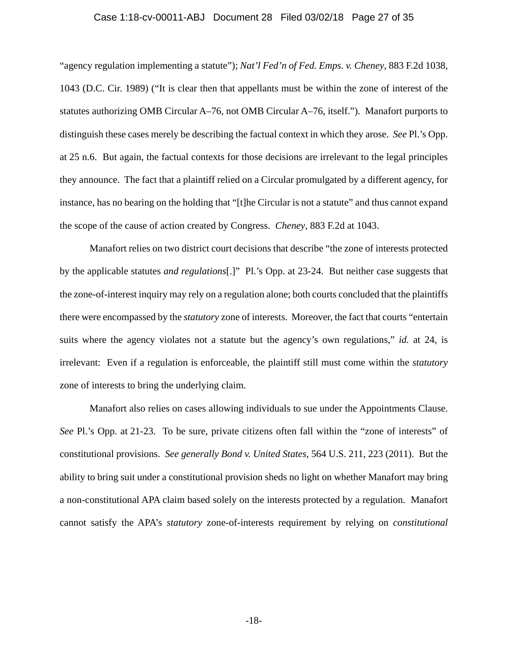## Case 1:18-cv-00011-ABJ Document 28 Filed 03/02/18 Page 27 of 35

"agency regulation implementing a statute"); *Nat'l Fed'n of Fed. Emps. v. Cheney*, 883 F.2d 1038, 1043 (D.C. Cir. 1989) ("It is clear then that appellants must be within the zone of interest of the statutes authorizing OMB Circular A–76, not OMB Circular A–76, itself."). Manafort purports to distinguish these cases merely be describing the factual context in which they arose. *See* Pl.'s Opp. at 25 n.6. But again, the factual contexts for those decisions are irrelevant to the legal principles they announce. The fact that a plaintiff relied on a Circular promulgated by a different agency, for instance, has no bearing on the holding that "[t]he Circular is not a statute" and thus cannot expand the scope of the cause of action created by Congress. *Cheney*, 883 F.2d at 1043.

Manafort relies on two district court decisions that describe "the zone of interests protected by the applicable statutes *and regulations*[.]" Pl.'s Opp. at 23-24. But neither case suggests that the zone-of-interest inquiry may rely on a regulation alone; both courts concluded that the plaintiffs there were encompassed by the *statutory* zone of interests. Moreover, the fact that courts "entertain suits where the agency violates not a statute but the agency's own regulations," *id.* at 24, is irrelevant: Even if a regulation is enforceable, the plaintiff still must come within the *statutory*  zone of interests to bring the underlying claim.

Manafort also relies on cases allowing individuals to sue under the Appointments Clause. *See* Pl.'s Opp. at 21-23. To be sure, private citizens often fall within the "zone of interests" of constitutional provisions. *See generally Bond v. United States*, 564 U.S. 211, 223 (2011). But the ability to bring suit under a constitutional provision sheds no light on whether Manafort may bring a non-constitutional APA claim based solely on the interests protected by a regulation. Manafort cannot satisfy the APA's *statutory* zone-of-interests requirement by relying on *constitutional*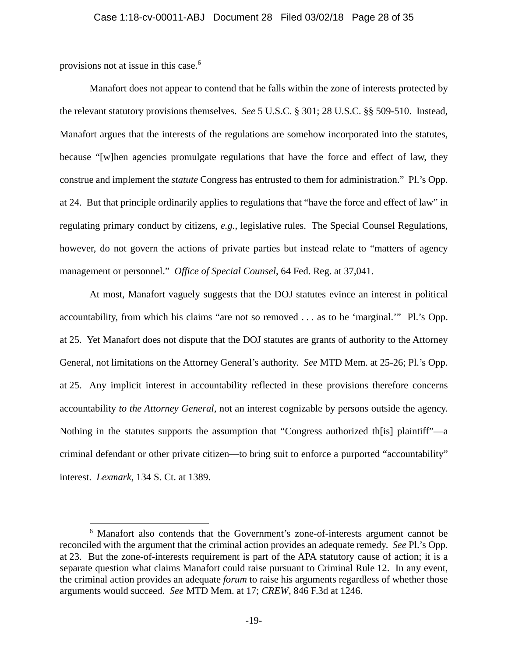provisions not at issue in this case.6

 $\overline{a}$ 

Manafort does not appear to contend that he falls within the zone of interests protected by the relevant statutory provisions themselves. *See* 5 U.S.C. § 301; 28 U.S.C. §§ 509-510. Instead, Manafort argues that the interests of the regulations are somehow incorporated into the statutes, because "[w]hen agencies promulgate regulations that have the force and effect of law, they construe and implement the *statute* Congress has entrusted to them for administration." Pl.'s Opp. at 24. But that principle ordinarily applies to regulations that "have the force and effect of law" in regulating primary conduct by citizens, *e.g.*, legislative rules. The Special Counsel Regulations, however, do not govern the actions of private parties but instead relate to "matters of agency management or personnel." *Office of Special Counsel*, 64 Fed. Reg. at 37,041.

At most, Manafort vaguely suggests that the DOJ statutes evince an interest in political accountability, from which his claims "are not so removed . . . as to be 'marginal.'" Pl.'s Opp. at 25. Yet Manafort does not dispute that the DOJ statutes are grants of authority to the Attorney General, not limitations on the Attorney General's authority. *See* MTD Mem. at 25-26; Pl.'s Opp. at 25. Any implicit interest in accountability reflected in these provisions therefore concerns accountability *to the Attorney General*, not an interest cognizable by persons outside the agency. Nothing in the statutes supports the assumption that "Congress authorized the splaintiff"—a criminal defendant or other private citizen—to bring suit to enforce a purported "accountability" interest. *Lexmark*, 134 S. Ct. at 1389.

<sup>&</sup>lt;sup>6</sup> Manafort also contends that the Government's zone-of-interests argument cannot be reconciled with the argument that the criminal action provides an adequate remedy. *See* Pl.'s Opp. at 23. But the zone-of-interests requirement is part of the APA statutory cause of action; it is a separate question what claims Manafort could raise pursuant to Criminal Rule 12. In any event, the criminal action provides an adequate *forum* to raise his arguments regardless of whether those arguments would succeed. *See* MTD Mem. at 17; *CREW*, 846 F.3d at 1246.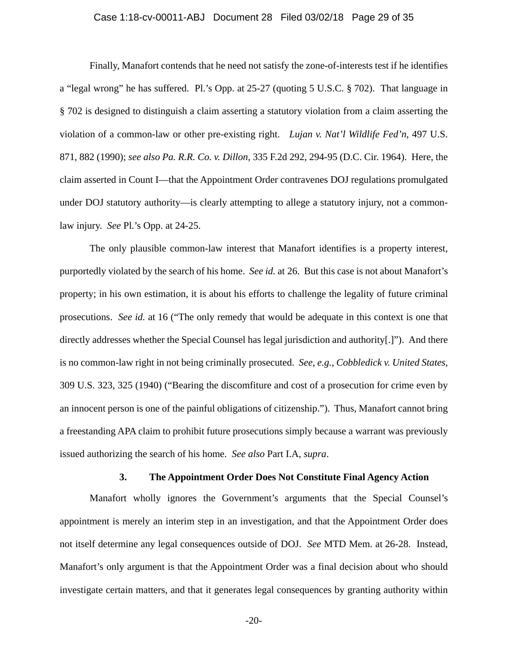## Case 1:18-cv-00011-ABJ Document 28 Filed 03/02/18 Page 29 of 35

Finally, Manafort contends that he need not satisfy the zone-of-interests test if he identifies a "legal wrong" he has suffered. Pl.'s Opp. at 25-27 (quoting 5 U.S.C. § 702). That language in § 702 is designed to distinguish a claim asserting a statutory violation from a claim asserting the violation of a common-law or other pre-existing right. *Lujan v. Nat'l Wildlife Fed'n*, 497 U.S. 871, 882 (1990); *see also Pa. R.R. Co. v. Dillon*, 335 F.2d 292, 294-95 (D.C. Cir. 1964). Here, the claim asserted in Count I—that the Appointment Order contravenes DOJ regulations promulgated under DOJ statutory authority—is clearly attempting to allege a statutory injury, not a commonlaw injury. *See* Pl.'s Opp. at 24-25.

The only plausible common-law interest that Manafort identifies is a property interest, purportedly violated by the search of his home. *See id.* at 26. But this case is not about Manafort's property; in his own estimation, it is about his efforts to challenge the legality of future criminal prosecutions. *See id.* at 16 ("The only remedy that would be adequate in this context is one that directly addresses whether the Special Counsel has legal jurisdiction and authority[.]"). And there is no common-law right in not being criminally prosecuted. *See, e.g.*, *Cobbledick v. United States*, 309 U.S. 323, 325 (1940) ("Bearing the discomfiture and cost of a prosecution for crime even by an innocent person is one of the painful obligations of citizenship."). Thus, Manafort cannot bring a freestanding APA claim to prohibit future prosecutions simply because a warrant was previously issued authorizing the search of his home. *See also* Part I.A, *supra*.

#### **3. The Appointment Order Does Not Constitute Final Agency Action**

Manafort wholly ignores the Government's arguments that the Special Counsel's appointment is merely an interim step in an investigation, and that the Appointment Order does not itself determine any legal consequences outside of DOJ. *See* MTD Mem. at 26-28. Instead, Manafort's only argument is that the Appointment Order was a final decision about who should investigate certain matters, and that it generates legal consequences by granting authority within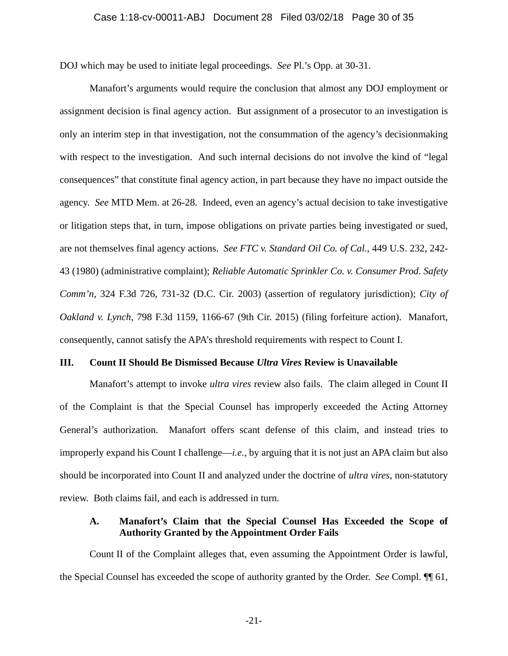DOJ which may be used to initiate legal proceedings. *See* Pl.'s Opp. at 30-31.

Manafort's arguments would require the conclusion that almost any DOJ employment or assignment decision is final agency action. But assignment of a prosecutor to an investigation is only an interim step in that investigation, not the consummation of the agency's decisionmaking with respect to the investigation. And such internal decisions do not involve the kind of "legal consequences" that constitute final agency action, in part because they have no impact outside the agency. *See* MTD Mem. at 26-28. Indeed, even an agency's actual decision to take investigative or litigation steps that, in turn, impose obligations on private parties being investigated or sued, are not themselves final agency actions. *See FTC v. Standard Oil Co. of Cal.*, 449 U.S. 232, 242- 43 (1980) (administrative complaint); *Reliable Automatic Sprinkler Co. v. Consumer Prod. Safety Comm'n*, 324 F.3d 726, 731-32 (D.C. Cir. 2003) (assertion of regulatory jurisdiction); *City of Oakland v. Lynch*, 798 F.3d 1159, 1166-67 (9th Cir. 2015) (filing forfeiture action). Manafort, consequently, cannot satisfy the APA's threshold requirements with respect to Count I.

## **III. Count II Should Be Dismissed Because** *Ultra Vires* **Review is Unavailable**

Manafort's attempt to invoke *ultra vires* review also fails. The claim alleged in Count II of the Complaint is that the Special Counsel has improperly exceeded the Acting Attorney General's authorization. Manafort offers scant defense of this claim, and instead tries to improperly expand his Count I challenge—*i.e.*, by arguing that it is not just an APA claim but also should be incorporated into Count II and analyzed under the doctrine of *ultra vires*, non-statutory review. Both claims fail, and each is addressed in turn.

# **A. Manafort's Claim that the Special Counsel Has Exceeded the Scope of Authority Granted by the Appointment Order Fails**

Count II of the Complaint alleges that, even assuming the Appointment Order is lawful, the Special Counsel has exceeded the scope of authority granted by the Order. *See* Compl. ¶¶ 61,

-21-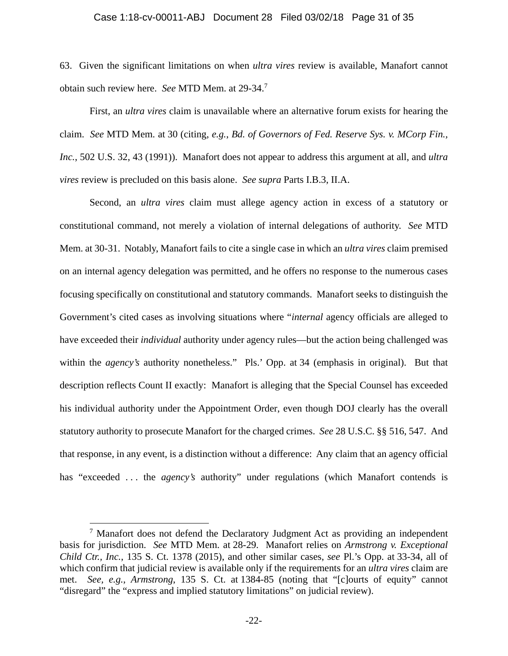#### Case 1:18-cv-00011-ABJ Document 28 Filed 03/02/18 Page 31 of 35

63. Given the significant limitations on when *ultra vires* review is available, Manafort cannot obtain such review here. *See* MTD Mem. at 29-34.<sup>7</sup>

First, an *ultra vires* claim is unavailable where an alternative forum exists for hearing the claim. *See* MTD Mem. at 30 (citing, *e.g.*, *Bd. of Governors of Fed. Reserve Sys. v. MCorp Fin., Inc.*, 502 U.S. 32, 43 (1991)). Manafort does not appear to address this argument at all, and *ultra vires* review is precluded on this basis alone. *See supra* Parts I.B.3, II.A.

Second, an *ultra vires* claim must allege agency action in excess of a statutory or constitutional command, not merely a violation of internal delegations of authority. *See* MTD Mem. at 30-31. Notably, Manafort fails to cite a single case in which an *ultra vires* claim premised on an internal agency delegation was permitted, and he offers no response to the numerous cases focusing specifically on constitutional and statutory commands. Manafort seeks to distinguish the Government's cited cases as involving situations where "*internal* agency officials are alleged to have exceeded their *individual* authority under agency rules—but the action being challenged was within the *agency's* authority nonetheless." Pls.' Opp. at 34 (emphasis in original). But that description reflects Count II exactly: Manafort is alleging that the Special Counsel has exceeded his individual authority under the Appointment Order, even though DOJ clearly has the overall statutory authority to prosecute Manafort for the charged crimes. *See* 28 U.S.C. §§ 516, 547. And that response, in any event, is a distinction without a difference: Any claim that an agency official has "exceeded ... the *agency's* authority" under regulations (which Manafort contends is

<u>.</u>

 $<sup>7</sup>$  Manafort does not defend the Declaratory Judgment Act as providing an independent</sup> basis for jurisdiction. *See* MTD Mem. at 28-29. Manafort relies on *Armstrong v. Exceptional Child Ctr., Inc.*, 135 S. Ct. 1378 (2015), and other similar cases, *see* Pl.'s Opp. at 33-34, all of which confirm that judicial review is available only if the requirements for an *ultra vires* claim are met. *See, e.g.*, *Armstrong*, 135 S. Ct. at 1384-85 (noting that "[c]ourts of equity" cannot "disregard" the "express and implied statutory limitations" on judicial review).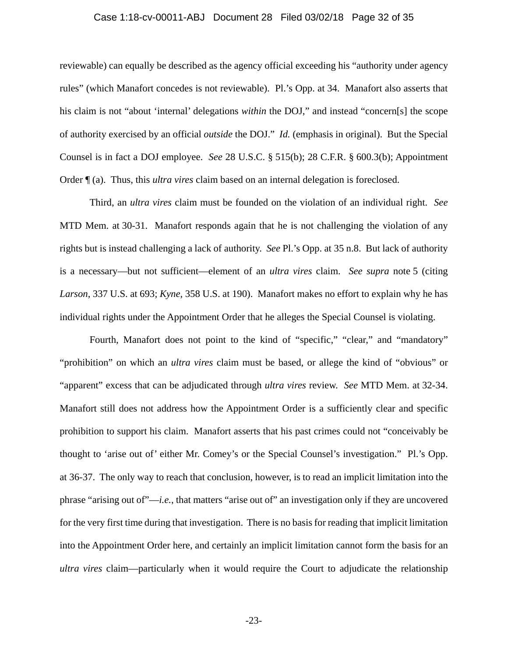## Case 1:18-cv-00011-ABJ Document 28 Filed 03/02/18 Page 32 of 35

reviewable) can equally be described as the agency official exceeding his "authority under agency rules" (which Manafort concedes is not reviewable). Pl.'s Opp. at 34. Manafort also asserts that his claim is not "about 'internal' delegations *within* the DOJ," and instead "concern[s] the scope of authority exercised by an official *outside* the DOJ." *Id.* (emphasis in original). But the Special Counsel is in fact a DOJ employee. *See* 28 U.S.C. § 515(b); 28 C.F.R. § 600.3(b); Appointment Order ¶ (a). Thus, this *ultra vires* claim based on an internal delegation is foreclosed.

Third, an *ultra vires* claim must be founded on the violation of an individual right. *See*  MTD Mem. at 30-31. Manafort responds again that he is not challenging the violation of any rights but is instead challenging a lack of authority. *See* Pl.'s Opp. at 35 n.8. But lack of authority is a necessary—but not sufficient—element of an *ultra vires* claim. *See supra* note 5 (citing *Larson*, 337 U.S. at 693; *Kyne*, 358 U.S. at 190). Manafort makes no effort to explain why he has individual rights under the Appointment Order that he alleges the Special Counsel is violating.

Fourth, Manafort does not point to the kind of "specific," "clear," and "mandatory" "prohibition" on which an *ultra vires* claim must be based, or allege the kind of "obvious" or "apparent" excess that can be adjudicated through *ultra vires* review. *See* MTD Mem. at 32-34. Manafort still does not address how the Appointment Order is a sufficiently clear and specific prohibition to support his claim. Manafort asserts that his past crimes could not "conceivably be thought to 'arise out of' either Mr. Comey's or the Special Counsel's investigation." Pl.'s Opp. at 36-37. The only way to reach that conclusion, however, is to read an implicit limitation into the phrase "arising out of"—*i.e.*, that matters "arise out of" an investigation only if they are uncovered for the very first time during that investigation. There is no basis for reading that implicit limitation into the Appointment Order here, and certainly an implicit limitation cannot form the basis for an *ultra vires* claim—particularly when it would require the Court to adjudicate the relationship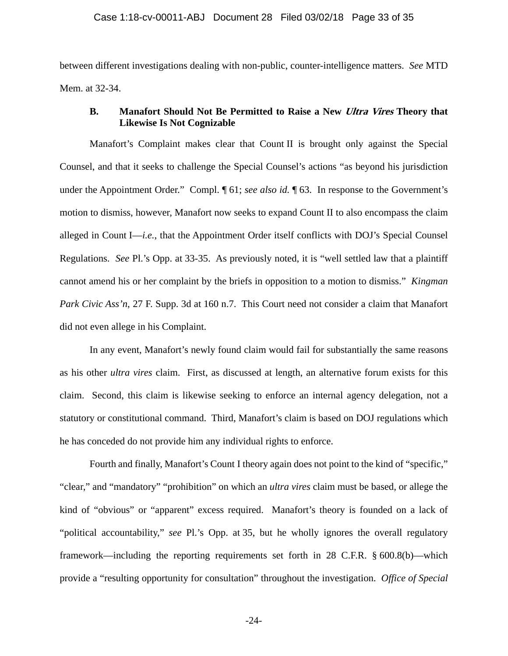between different investigations dealing with non-public, counter-intelligence matters. *See* MTD Mem. at 32-34.

# **B. Manafort Should Not Be Permitted to Raise a New Ultra Vires Theory that Likewise Is Not Cognizable**

Manafort's Complaint makes clear that Count II is brought only against the Special Counsel, and that it seeks to challenge the Special Counsel's actions "as beyond his jurisdiction under the Appointment Order." Compl. ¶ 61; *see also id.* ¶ 63. In response to the Government's motion to dismiss, however, Manafort now seeks to expand Count II to also encompass the claim alleged in Count I—*i.e.*, that the Appointment Order itself conflicts with DOJ's Special Counsel Regulations. *See* Pl.'s Opp. at 33-35. As previously noted, it is "well settled law that a plaintiff cannot amend his or her complaint by the briefs in opposition to a motion to dismiss." *Kingman Park Civic Ass'n*, 27 F. Supp. 3d at 160 n.7. This Court need not consider a claim that Manafort did not even allege in his Complaint.

In any event, Manafort's newly found claim would fail for substantially the same reasons as his other *ultra vires* claim. First, as discussed at length, an alternative forum exists for this claim. Second, this claim is likewise seeking to enforce an internal agency delegation, not a statutory or constitutional command. Third, Manafort's claim is based on DOJ regulations which he has conceded do not provide him any individual rights to enforce.

Fourth and finally, Manafort's Count I theory again does not point to the kind of "specific," "clear," and "mandatory" "prohibition" on which an *ultra vires* claim must be based, or allege the kind of "obvious" or "apparent" excess required. Manafort's theory is founded on a lack of "political accountability," *see* Pl.'s Opp. at 35, but he wholly ignores the overall regulatory framework—including the reporting requirements set forth in 28 C.F.R. § 600.8(b)—which provide a "resulting opportunity for consultation" throughout the investigation. *Office of Special* 

-24-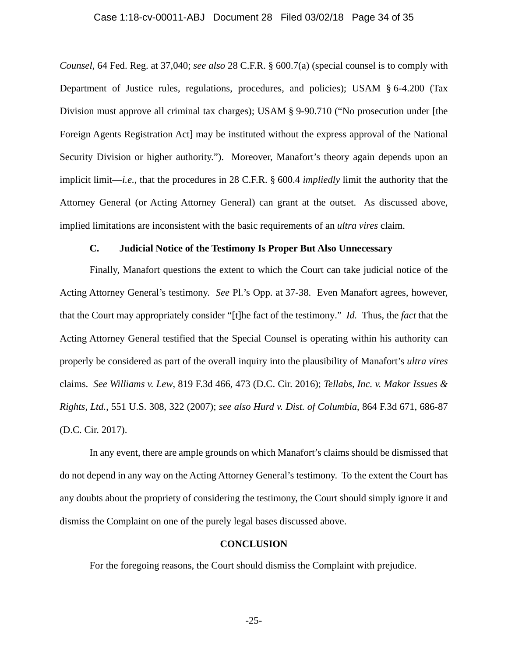## Case 1:18-cv-00011-ABJ Document 28 Filed 03/02/18 Page 34 of 35

*Counsel*, 64 Fed. Reg. at 37,040; *see also* 28 C.F.R. § 600.7(a) (special counsel is to comply with Department of Justice rules, regulations, procedures, and policies); USAM § 6-4.200 (Tax Division must approve all criminal tax charges); USAM § 9-90.710 ("No prosecution under [the Foreign Agents Registration Act] may be instituted without the express approval of the National Security Division or higher authority."). Moreover, Manafort's theory again depends upon an implicit limit—*i.e.*, that the procedures in 28 C.F.R. § 600.4 *impliedly* limit the authority that the Attorney General (or Acting Attorney General) can grant at the outset. As discussed above, implied limitations are inconsistent with the basic requirements of an *ultra vires* claim.

# **C. Judicial Notice of the Testimony Is Proper But Also Unnecessary**

Finally, Manafort questions the extent to which the Court can take judicial notice of the Acting Attorney General's testimony. *See* Pl.'s Opp. at 37-38. Even Manafort agrees, however, that the Court may appropriately consider "[t]he fact of the testimony." *Id.* Thus, the *fact* that the Acting Attorney General testified that the Special Counsel is operating within his authority can properly be considered as part of the overall inquiry into the plausibility of Manafort's *ultra vires*  claims. *See Williams v. Lew*, 819 F.3d 466, 473 (D.C. Cir. 2016); *Tellabs, Inc. v. Makor Issues & Rights, Ltd.*, 551 U.S. 308, 322 (2007); *see also Hurd v. Dist. of Columbia*, 864 F.3d 671, 686-87 (D.C. Cir. 2017).

In any event, there are ample grounds on which Manafort's claims should be dismissed that do not depend in any way on the Acting Attorney General's testimony. To the extent the Court has any doubts about the propriety of considering the testimony, the Court should simply ignore it and dismiss the Complaint on one of the purely legal bases discussed above.

# **CONCLUSION**

For the foregoing reasons, the Court should dismiss the Complaint with prejudice.

-25-